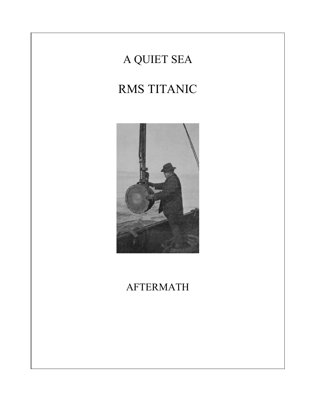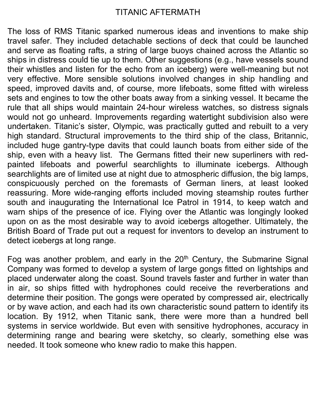## TITANIC AFTERMATH

The loss of RMS Titanic sparked numerous ideas and inventions to make ship travel safer. They included detachable sections of deck that could be launched and serve as floating rafts, a string of large buoys chained across the Atlantic so ships in distress could tie up to them. Other suggestions (e.g., have vessels sound their whistles and listen for the echo from an iceberg) were well-meaning but not very effective. More sensible solutions involved changes in ship handling and speed, improved davits and, of course, more lifeboats, some fitted with wireless sets and engines to tow the other boats away from a sinking vessel. It became the rule that all ships would maintain 24-hour wireless watches, so distress signals would not go unheard. Improvements regarding watertight subdivision also were undertaken. Titanic's sister, Olympic, was practically gutted and rebuilt to a very high standard. Structural improvements to the third ship of the class, Britannic, included huge gantry-type davits that could launch boats from either side of the ship, even with a heavy list. The Germans fitted their new superliners with redpainted lifeboats and powerful searchlights to illuminate icebergs. Although searchlights are of limited use at night due to atmospheric diffusion, the big lamps, conspicuously perched on the foremasts of German liners, at least looked reassuring. More wide-ranging efforts included moving steamship routes further south and inaugurating the International Ice Patrol in 1914, to keep watch and warn ships of the presence of ice. Flying over the Atlantic was longingly looked upon on as the most desirable way to avoid icebergs altogether. Ultimately, the British Board of Trade put out a request for inventors to develop an instrument to detect icebergs at long range.

Fog was another problem, and early in the  $20<sup>th</sup>$  Century, the Submarine Signal Company was formed to develop a system of large gongs fitted on lightships and placed underwater along the coast. Sound travels faster and further in water than in air, so ships fitted with hydrophones could receive the reverberations and determine their position. The gongs were operated by compressed air, electrically or by wave action, and each had its own characteristic sound pattern to identify its location. By 1912, when Titanic sank, there were more than a hundred bell systems in service worldwide. But even with sensitive hydrophones, accuracy in determining range and bearing were sketchy, so clearly, something else was needed. It took someone who knew radio to make this happen.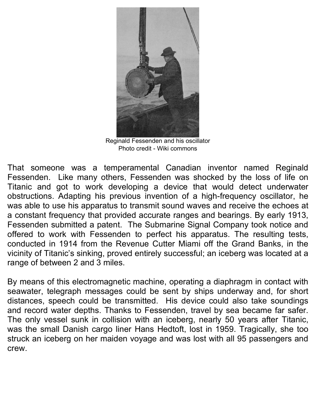

Reginald Fessenden and his oscillator Photo credit - Wiki commons

That someone was a temperamental Canadian inventor named Reginald Fessenden. Like many others, Fessenden was shocked by the loss of life on Titanic and got to work developing a device that would detect underwater obstructions. Adapting his previous invention of a high-frequency oscillator, he was able to use his apparatus to transmit sound waves and receive the echoes at a constant frequency that provided accurate ranges and bearings. By early 1913, Fessenden submitted a patent. The Submarine Signal Company took notice and offered to work with Fessenden to perfect his apparatus. The resulting tests, conducted in 1914 from the Revenue Cutter Miami off the Grand Banks, in the vicinity of Titanic's sinking, proved entirely successful; an iceberg was located at a range of between 2 and 3 miles.

By means of this electromagnetic machine, operating a diaphragm in contact with seawater, telegraph messages could be sent by ships underway and, for short distances, speech could be transmitted. His device could also take soundings and record water depths. Thanks to Fessenden, travel by sea became far safer. The only vessel sunk in collision with an iceberg, nearly 50 years after Titanic, was the small Danish cargo liner Hans Hedtoft, lost in 1959. Tragically, she too struck an iceberg on her maiden voyage and was lost with all 95 passengers and crew.